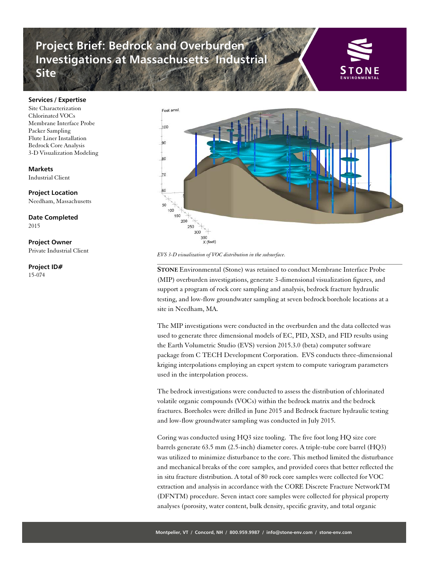## **Project Brief: Bedrock and Overburden Investigations at Massachusetts Industrial Site**



## **Services / Expertise**

Site Characterization Chlorinated VOCs Membrane Interface Probe Packer Sampling Flute Liner Installation Bedrock Core Analysis 3-D Visualization Modeling

## **Markets**

Industrial Client

**Project Location** Needham, Massachusetts

**Date Completed** 2015

**Project Owner** Private Industrial Client

**Project ID#** 15-074



*EVS 3-D visualization of VOC distribution in the subsurface.* 

**STONE** Environmental (Stone) was retained to conduct Membrane Interface Probe (MIP) overburden investigations, generate 3-dimensional visualization figures, and support a program of rock core sampling and analysis, bedrock fracture hydraulic testing, and low-flow groundwater sampling at seven bedrock borehole locations at a site in Needham, MA.

The MIP investigations were conducted in the overburden and the data collected was used to generate three dimensional models of EC, PID, XSD, and FID results using the Earth Volumetric Studio (EVS) version 2015.3.0 (beta) computer software package from C TECH Development Corporation. EVS conducts three-dimensional kriging interpolations employing an expert system to compute variogram parameters used in the interpolation process.

The bedrock investigations were conducted to assess the distribution of chlorinated volatile organic compounds (VOCs) within the bedrock matrix and the bedrock fractures. Boreholes were drilled in June 2015 and Bedrock fracture hydraulic testing and low-flow groundwater sampling was conducted in July 2015.

Coring was conducted using HQ3 size tooling. The five foot long HQ size core barrels generate 63.5 mm (2.5-inch) diameter cores. A triple-tube core barrel (HQ3) was utilized to minimize disturbance to the core. This method limited the disturbance and mechanical breaks of the core samples, and provided cores that better reflected the in situ fracture distribution. A total of 80 rock core samples were collected for VOC extraction and analysis in accordance with the CORE Discrete Fracture NetworkTM (DFNTM) procedure. Seven intact core samples were collected for physical property analyses (porosity, water content, bulk density, specific gravity, and total organic